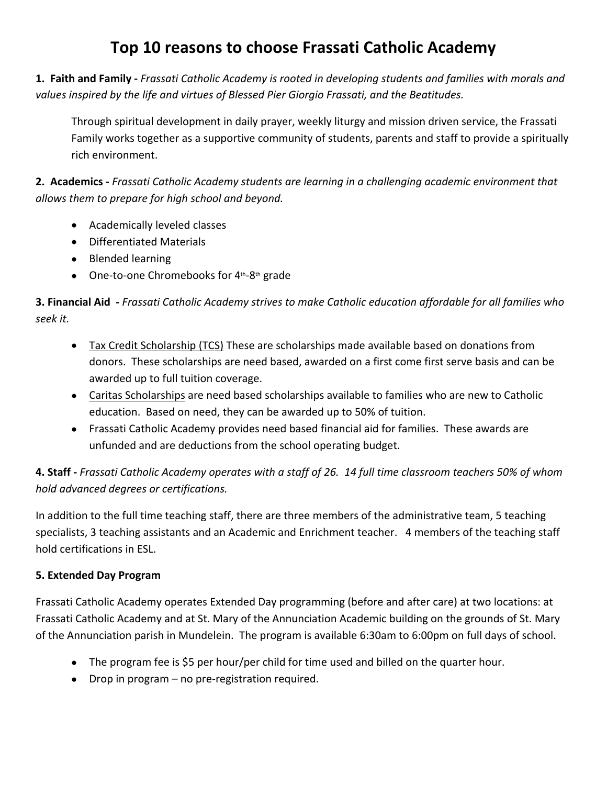# **Top 10 reasons to choose Frassati Catholic Academy**

**1. Faith and Family -** *Frassati Catholic Academy is rooted in developing students and families with morals and values inspired by the life and virtues of Blessed Pier Giorgio Frassati, and the Beatitudes.* 

Through spiritual development in daily prayer, weekly liturgy and mission driven service, the Frassati Family works together as a supportive community of students, parents and staff to provide a spiritually rich environment.

**2. Academics -** *Frassati Catholic Academy students are learning in a challenging academic environment that allows them to prepare for high school and beyond.*

- Academically leveled classes
- Differentiated Materials
- Blended learning
- One-to-one Chromebooks for 4<sup>th</sup>-8<sup>th</sup> grade

**3. Financial Aid -** *Frassati Catholic Academy strives to make Catholic education affordable for all families who seek it.*

- Tax Credit Scholarship (TCS) These are scholarships made available based on donations from donors. These scholarships are need based, awarded on a first come first serve basis and can be awarded up to full tuition coverage.
- Caritas Scholarships are need based scholarships available to families who are new to Catholic education. Based on need, they can be awarded up to 50% of tuition.
- Frassati Catholic Academy provides need based financial aid for families. These awards are unfunded and are deductions from the school operating budget.

**4. Staff -** *Frassati Catholic Academy operates with a staff of 26. 14 full time classroom teachers 50% of whom hold advanced degrees or certifications.* 

In addition to the full time teaching staff, there are three members of the administrative team, 5 teaching specialists, 3 teaching assistants and an Academic and Enrichment teacher. 4 members of the teaching staff hold certifications in ESL.

## **5. Extended Day Program**

Frassati Catholic Academy operates Extended Day programming (before and after care) at two locations: at Frassati Catholic Academy and at St. Mary of the Annunciation Academic building on the grounds of St. Mary of the Annunciation parish in Mundelein. The program is available 6:30am to 6:00pm on full days of school.

- The program fee is \$5 per hour/per child for time used and billed on the quarter hour.
- Drop in program no pre-registration required.